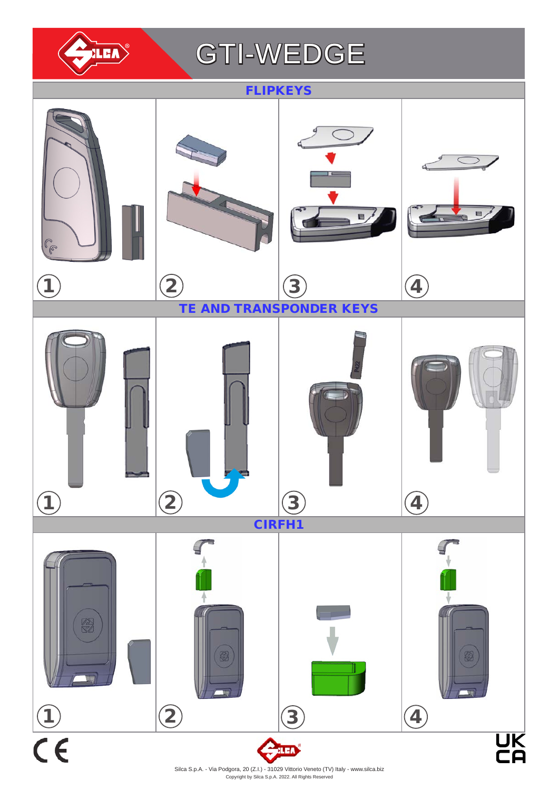

### $\overline{a}$ GTI-WEDGE

### **FLIPKEYS**

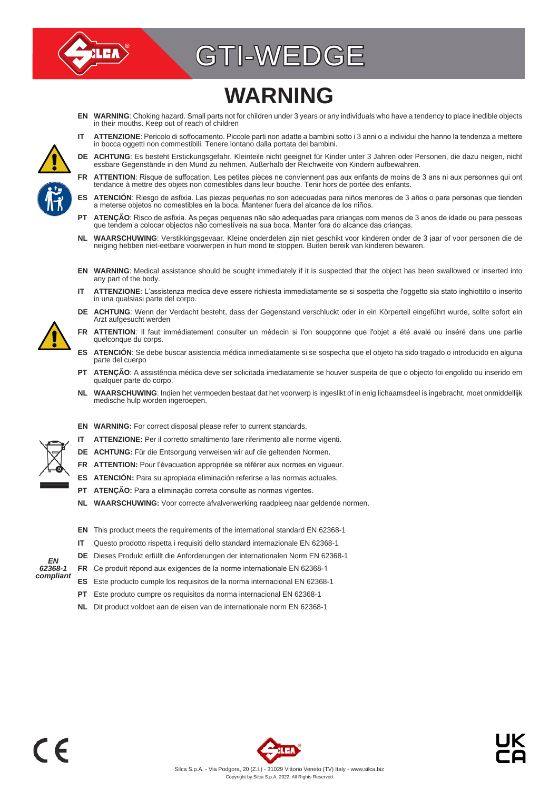

# GTI-WEDGE

## **WARNING**

- **EN WARNING**: Choking hazard. Small parts not for children under 3 years or any individuals who have a tendency to place inedible objects in their mouths. Keep out of reach of children
- **IT ATTENZIONE**: Pericolo di soffocamento. Piccole parti non adatte a bambini sotto i 3 anni o a individui che hanno la tendenza a mettere in bocca oggetti non commestibili. Tenere lontano dalla portata dei bambini.
- DE ACHTUNG: Es besteht Erstickungsgefahr. Kleinteile nicht geeignet für Kinder unter 3 Jahren oder Personen, die dazu neigen, nicht essbare Gegenstände in den Mund zu nehmen. Außerhalb der Reichweite von Kindern aufbewahre
- FR ATTENTION: Risque de suffocation. Les petites pièces ne conviennent pas aux enfants de moins de 3 ans ni aux personnes qui ont<br>tendance à mettre des objets non comestibles dans leur bouche. Tenir hors de portée des enfa
- **ES ATENCIÓN**: Riesgo de asfixia. Las piezas pequeñas no son adecuadas para niños menores de 3 años o para personas que tienden a meterse objetos no comestibles en la boca. Mantener fuera del alcance de los niños.
- **PT ATENÇÃO**: Risco de asfixia. As peças pequenas não são adequadas para crianças com menos de 3 anos de idade ou para pessoas que tendem a colocar objectos não comestíveis na sua boca. Manter fora do alcance das crianças.
- **NL WAARSCHUWING**: Verstikkingsgevaar. Kleine onderdelen zijn niet geschikt voor kinderen onder de 3 jaar of voor personen die de neiging hebben niet-eetbare voorwerpen in hun mond te stoppen. Buiten bereik van kinderen bewaren.
- **EN WARNING**: Medical assistance should be sought immediately if it is suspected that the object has been swallowed or inserted into any part of the body.
- **IT ATTENZIONE**: L'assistenza medica deve essere richiesta immediatamente se si sospetta che l'oggetto sia stato inghiottito o inserito in una qualsiasi parte del corpo.
- **DE ACHTUNG**: Wenn der Verdacht besteht, dass der Gegenstand verschluckt oder in ein Körperteil eingeführt wurde, sollte sofort ein Arzt aufgesucht werden
- **FR ATTENTION**: Il faut immédiatement consulter un médecin si l'on soupçonne que l'objet a été avalé ou inséré dans une partie quelconque du corps.
- **ES ATENCIÓN**: Se debe buscar asistencia médica inmediatamente si se sospecha que el objeto ha sido tragado o introducido en alguna parte del cuerpo
- **PT ATENÇÃO**: A assistência médica deve ser solicitada imediatamente se houver suspeita de que o objecto foi engolido ou inserido em qualquer parte do corpo.
- **NL WAARSCHUWING**: Indien het vermoeden bestaat dat het voorwerp is ingeslikt of in enig lichaamsdeel is ingebracht, moet onmiddellijk medische hulp worden ingeroepen.



*EN 62368-1 compliant*

- **EN WARNING:** For correct disposal please refer to current standards.
- **IT ATTENZIONE:** Per il corretto smaltimento fare riferimento alle norme vigenti.
- **DE ACHTUNG:** Für die Entsorgung verweisen wir auf die geltenden Normen.
- FR ATTENTION: Pour l'évacuation appropriée se référer aux normes en vigueur.
- **ES ATENCIÓN:** Para su apropiada eliminación referirse a las normas actuales.
- **PT ATENÇÃO:** Para a eliminação correta consulte as normas vigentes.
- **NL WAARSCHUWING:** Voor correcte afvalverwerking raadpleeg naar geldende normen.
- **EN** This product meets the requirements of the international standard EN 62368-1
- **IT** Questo prodotto rispetta i requisiti dello standard internazionale EN 62368-1
- **DE** Dieses Produkt erfüllt die Anforderungen der internationalen Norm EN 62368-1
- **FR** Ce produit répond aux exigences de la norme internationale EN 62368-1
- **ES** Este producto cumple los requisitos de la norma internacional EN 62368-1
- **PT** Este produto cumpre os requisitos da norma internacional EN 62368-1
- **NL** Dit product voldoet aan de eisen van de internationale norm EN 62368-1